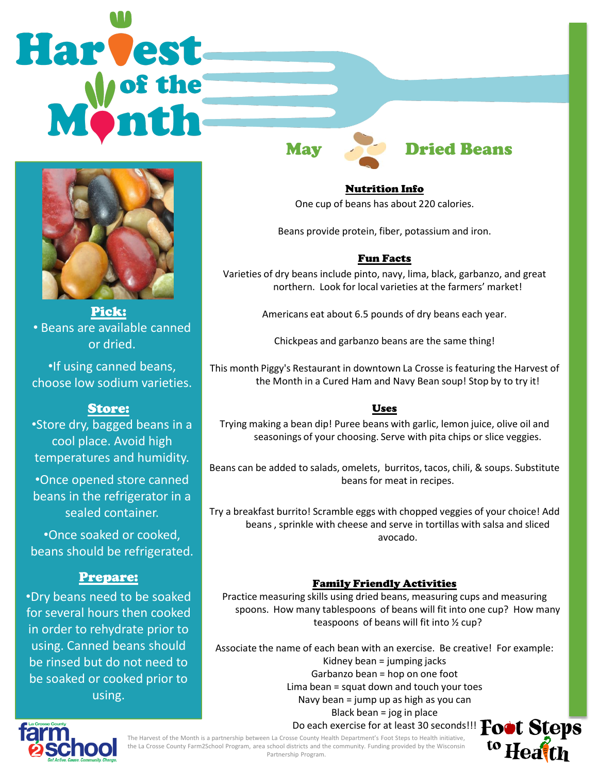# Harvest



Pick: • Beans are available canned or dried.

•If using canned beans, choose low sodium varieties.

## Store:

•Store dry, bagged beans in a cool place. Avoid high temperatures and humidity.

•Once opened store canned beans in the refrigerator in a sealed container.

•Once soaked or cooked, beans should be refrigerated.

### Prepare:

•Dry beans need to be soaked for several hours then cooked in order to rehydrate prior to using. Canned beans should be rinsed but do not need to be soaked or cooked prior to using.

# May **Dried Beans**

Nutrition Info One cup of beans has about 220 calories.

Beans provide protein, fiber, potassium and iron.

### Fun Facts

Varieties of dry beans include pinto, navy, lima, black, garbanzo, and great northern. Look for local varieties at the farmers' market!

Americans eat about 6.5 pounds of dry beans each year.

Chickpeas and garbanzo beans are the same thing!

This month Piggy's Restaurant in downtown La Crosse is featuring the Harvest of the Month in a Cured Ham and Navy Bean soup! Stop by to try it!

### Uses

Trying making a bean dip! Puree beans with garlic, lemon juice, olive oil and seasonings of your choosing. Serve with pita chips or slice veggies.

Beans can be added to salads, omelets, burritos, tacos, chili, & soups. Substitute beans for meat in recipes.

Try a breakfast burrito! Scramble eggs with chopped veggies of your choice! Add beans , sprinkle with cheese and serve in tortillas with salsa and sliced avocado.

### Family Friendly Activities

Practice measuring skills using dried beans, measuring cups and measuring spoons. How many tablespoons of beans will fit into one cup? How many teaspoons of beans will fit into ½ cup?

Associate the name of each bean with an exercise. Be creative! For example: Kidney bean = jumping jacks Garbanzo bean = hop on one foot Lima bean = squat down and touch your toes Navy bean = jump up as high as you can Black bean = jog in place



The Harvest of the Month is a partnership between La Crosse County Health Department's Foot Steps to Health initiative, the La Crosse County Farm2School Program, area school districts and the community. Funding provided by the Wisconsin Partnership Program.